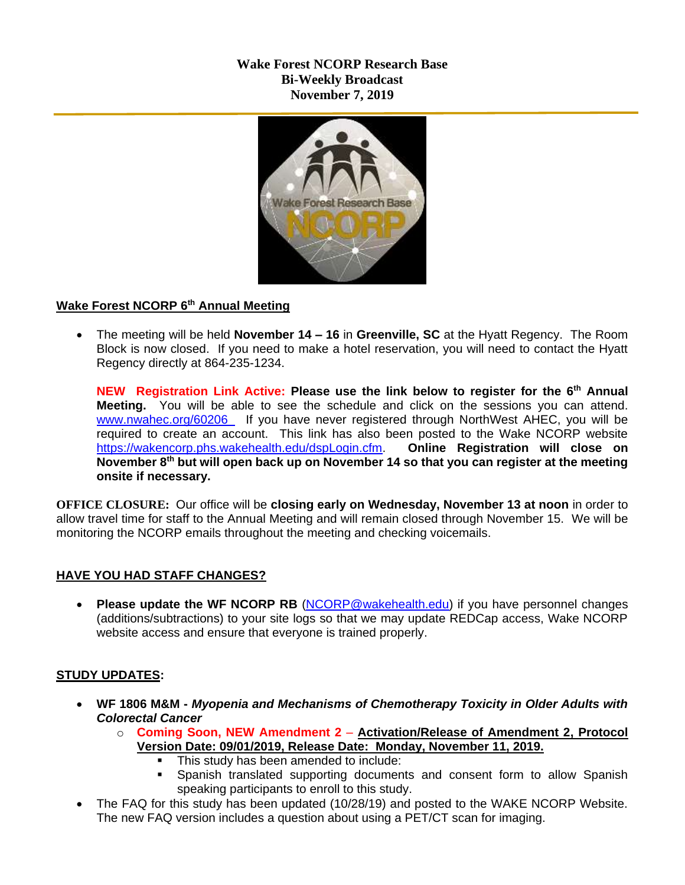# **Wake Forest NCORP Research Base Bi-Weekly Broadcast November 7, 2019**



## **Wake Forest NCORP 6th Annual Meeting**

 The meeting will be held **November 14 – 16** in **Greenville, SC** at the Hyatt Regency. The Room Block is now closed. If you need to make a hotel reservation, you will need to contact the Hyatt Regency directly at 864-235-1234.

**NEW Registration Link Active: Please use the link below to register for the 6th Annual Meeting.** You will be able to see the schedule and click on the sessions you can attend. [www.nwahec.org/60206](http://www.nwahec.org/60206) If you have never registered through NorthWest AHEC, you will be required to create an account. This link has also been posted to the Wake NCORP website [https://wakencorp.phs.wakehealth.edu/dspLogin.cfm.](https://wakencorp.phs.wakehealth.edu/dspLogin.cfm) **Online Registration will close on November 8th but will open back up on November 14 so that you can register at the meeting onsite if necessary.**

**OFFICE CLOSURE:** Our office will be **closing early on Wednesday, November 13 at noon** in order to allow travel time for staff to the Annual Meeting and will remain closed through November 15. We will be monitoring the NCORP emails throughout the meeting and checking voicemails.

# **HAVE YOU HAD STAFF CHANGES?**

 **Please update the WF NCORP RB** [\(NCORP@wakehealth.edu\)](mailto:NCORP@wakehealth.edu) if you have personnel changes (additions/subtractions) to your site logs so that we may update REDCap access, Wake NCORP website access and ensure that everyone is trained properly.

#### **STUDY UPDATES:**

- **WF 1806 M&M -** *Myopenia and Mechanisms of Chemotherapy Toxicity in Older Adults with Colorectal Cancer*
	- o **Coming Soon, NEW Amendment 2 Activation/Release of Amendment 2, Protocol Version Date: 09/01/2019, Release Date: Monday, November 11, 2019.**
		- This study has been amended to include:
		- **Spanish translated supporting documents and consent form to allow Spanish** speaking participants to enroll to this study.
- The FAQ for this study has been updated (10/28/19) and posted to the WAKE NCORP Website. The new FAQ version includes a question about using a PET/CT scan for imaging.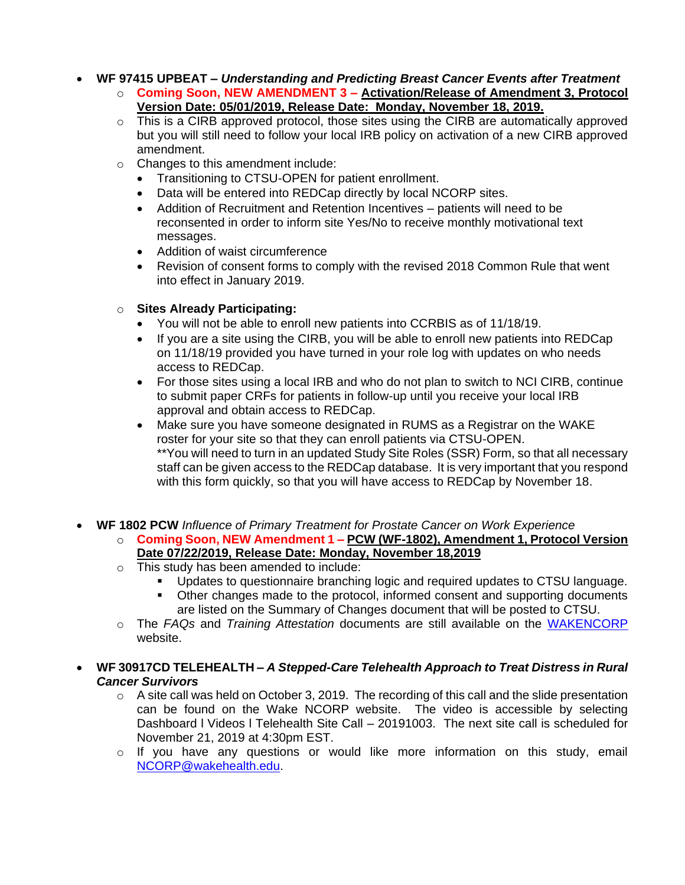**WF 97415 UPBEAT –** *Understanding and Predicting Breast Cancer Events after Treatment*

- o **Coming Soon, NEW AMENDMENT 3 – Activation/Release of Amendment 3, Protocol Version Date: 05/01/2019, Release Date: Monday, November 18, 2019.**
- o This is a CIRB approved protocol, those sites using the CIRB are automatically approved but you will still need to follow your local IRB policy on activation of a new CIRB approved amendment.
- o Changes to this amendment include:
	- Transitioning to CTSU-OPEN for patient enrollment.
	- Data will be entered into REDCap directly by local NCORP sites.
	- Addition of Recruitment and Retention Incentives patients will need to be reconsented in order to inform site Yes/No to receive monthly motivational text messages.
	- Addition of waist circumference
	- Revision of consent forms to comply with the revised 2018 Common Rule that went into effect in January 2019.

## o **Sites Already Participating:**

- You will not be able to enroll new patients into CCRBIS as of 11/18/19.
- If you are a site using the CIRB, you will be able to enroll new patients into REDCap on 11/18/19 provided you have turned in your role log with updates on who needs access to REDCap.
- For those sites using a local IRB and who do not plan to switch to NCI CIRB, continue to submit paper CRFs for patients in follow-up until you receive your local IRB approval and obtain access to REDCap.
- Make sure you have someone designated in RUMS as a Registrar on the WAKE roster for your site so that they can enroll patients via CTSU-OPEN. \*\*You will need to turn in an updated Study Site Roles (SSR) Form, so that all necessary staff can be given access to the REDCap database. It is very important that you respond with this form quickly, so that you will have access to REDCap by November 18.
- **WF 1802 PCW** *Influence of Primary Treatment for Prostate Cancer on Work Experience*
	- o **Coming Soon, NEW Amendment 1 – PCW (WF-1802), Amendment 1, Protocol Version Date 07/22/2019, Release Date: Monday, November 18,2019**
	- o This study has been amended to include:
		- Updates to questionnaire branching logic and required updates to CTSU language.
		- Other changes made to the protocol, informed consent and supporting documents are listed on the Summary of Changes document that will be posted to CTSU.
	- o The *FAQs* and *Training Attestation* documents are still available on the [WAKENCORP](https://wakencorp.phs.wakehealth.edu/) website.
- **WF 30917CD TELEHEALTH –** *A Stepped-Care Telehealth Approach to Treat Distress in Rural Cancer Survivors*
	- $\circ$  A site call was held on October 3, 2019. The recording of this call and the slide presentation can be found on the Wake NCORP website. The video is accessible by selecting Dashboard l Videos l Telehealth Site Call – 20191003. The next site call is scheduled for November 21, 2019 at 4:30pm EST.
	- o If you have any questions or would like more information on this study, email [NCORP@wakehealth.edu.](mailto:NCORP@wakehealth.edu)